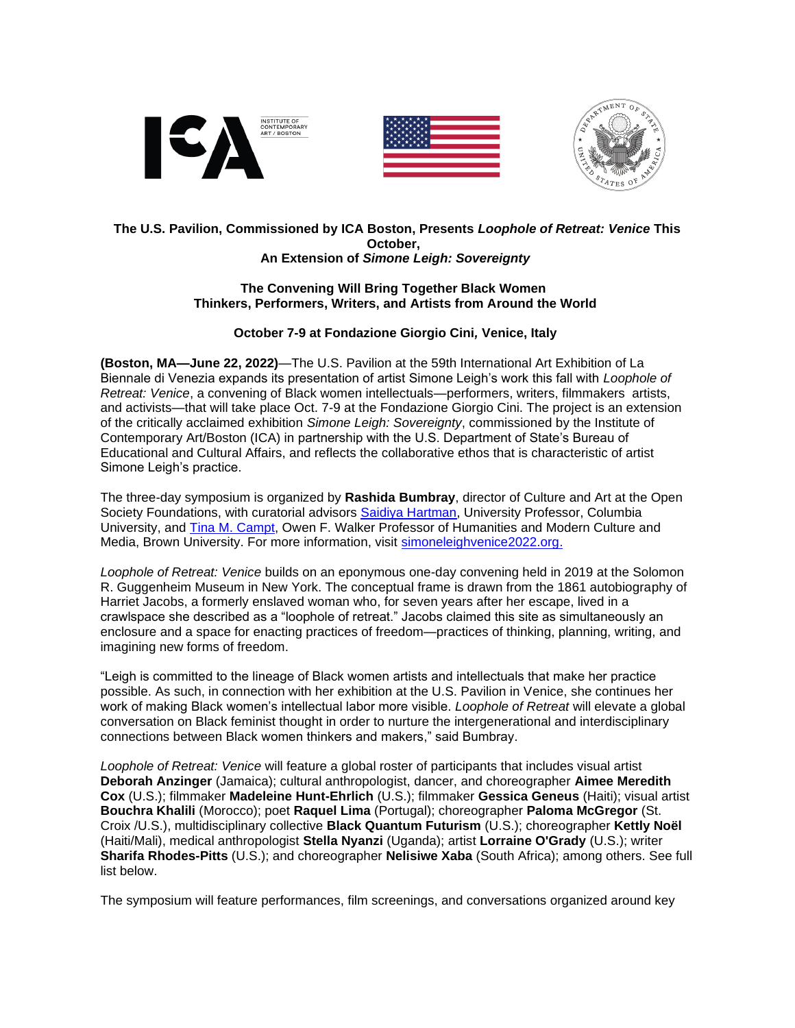





#### **The U.S. Pavilion, Commissioned by ICA Boston, Presents** *Loophole of Retreat: Venice* **This October, An Extension of** *Simone Leigh: Sovereignty*

### **The Convening Will Bring Together Black Women Thinkers, Performers, Writers, and Artists from Around the World**

# **October 7-9 at Fondazione Giorgio Cini***,* **Venice, Italy**

**(Boston, MA—June 22, 2022)**—The U.S. Pavilion at the 59th International Art Exhibition of La Biennale di Venezia expands its presentation of artist Simone Leigh's work this fall with *Loophole of Retreat: Venice*, a convening of Black women intellectuals—performers, writers, filmmakers artists, and activists—that will take place Oct. 7-9 at the Fondazione Giorgio Cini. The project is an extension of the critically acclaimed exhibition *Simone Leigh: Sovereignty*, commissioned by the Institute of Contemporary Art/Boston (ICA) in partnership with the U.S. Department of State's Bureau of Educational and Cultural Affairs, and reflects the collaborative ethos that is characteristic of artist Simone Leigh's practice.

The three-day symposium is organized by **Rashida Bumbray**, director of Culture and Art at the Open Society Foundations, with curatorial advisors [Saidiya Hartman,](https://saidiyahartman.com/?msclkid=7359dd7dcfb911ec9a45007ad0436f40) University Professor, Columbia University, and [Tina M. Campt,](https://humanities.brown.edu/people/tina-campt?msclkid=041162d5cfba11eca82549dea4c11ce9) Owen F. Walker Professor of Humanities and Modern Culture and Media, Brown University. For more information, visit [simoneleighvenice2022.org.](http://www.simoneleighvenice2022.org/)

*Loophole of Retreat: Venice* builds on an eponymous one-day convening held in 2019 at the Solomon R. Guggenheim Museum in New York. The conceptual frame is drawn from the 1861 autobiography of Harriet Jacobs, a formerly enslaved woman who, for seven years after her escape, lived in a crawlspace she described as a "loophole of retreat." Jacobs claimed this site as simultaneously an enclosure and a space for enacting practices of freedom—practices of thinking, planning, writing, and imagining new forms of freedom.

"Leigh is committed to the lineage of Black women artists and intellectuals that make her practice possible. As such, in connection with her exhibition at the U.S. Pavilion in Venice, she continues her work of making Black women's intellectual labor more visible. *Loophole of Retreat* will elevate a global conversation on Black feminist thought in order to nurture the intergenerational and interdisciplinary connections between Black women thinkers and makers," said Bumbray.

*Loophole of Retreat: Venice* will feature a global roster of participants that includes visual artist **Deborah Anzinger** (Jamaica); cultural anthropologist, dancer, and choreographer **Aimee Meredith Cox** (U.S.); filmmaker **Madeleine Hunt-Ehrlich** (U.S.); filmmaker **Gessica Geneus** (Haiti); visual artist **Bouchra Khalili** (Morocco); poet **Raquel Lima** (Portugal); choreographer **Paloma McGregor** (St. Croix /U.S.), multidisciplinary collective **Black Quantum Futurism** (U.S.); choreographer **Kettly Noël** (Haiti/Mali), medical anthropologist **Stella Nyanzi** (Uganda); artist **Lorraine O'Grady** (U.S.); writer **Sharifa Rhodes-Pitts** (U.S.); and choreographer **Nelisiwe Xaba** (South Africa); among others. See full list below.

The symposium will feature performances, film screenings, and conversations organized around key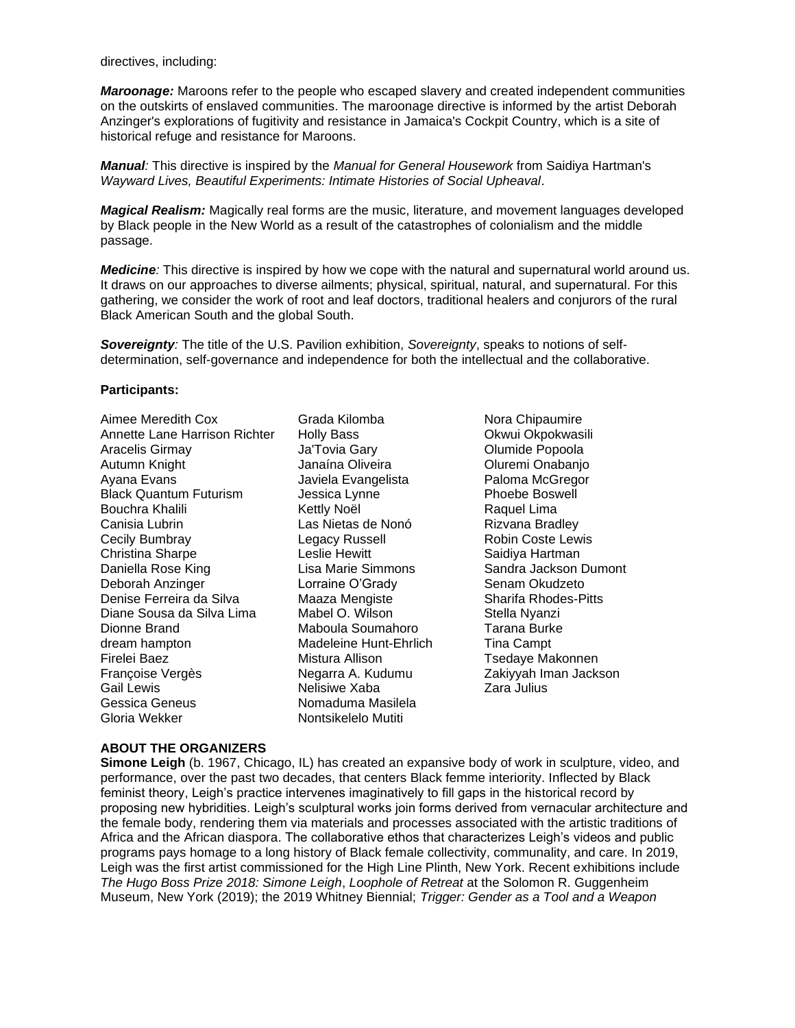directives, including:

*Maroonage:* Maroons refer to the people who escaped slavery and created independent communities on the outskirts of enslaved communities. The maroonage directive is informed by the artist Deborah Anzinger's explorations of fugitivity and resistance in Jamaica's Cockpit Country, which is a site of historical refuge and resistance for Maroons.

*Manual:* This directive is inspired by the *Manual for General Housework* from Saidiya Hartman's *Wayward Lives, Beautiful Experiments: Intimate Histories of Social Upheaval*.

*Magical Realism:* Magically real forms are the music, literature, and movement languages developed by Black people in the New World as a result of the catastrophes of colonialism and the middle passage.

*Medicine:* This directive is inspired by how we cope with the natural and supernatural world around us. It draws on our approaches to diverse ailments; physical, spiritual, natural, and supernatural. For this gathering, we consider the work of root and leaf doctors, traditional healers and conjurors of the rural Black American South and the global South.

*Sovereignty:* The title of the U.S. Pavilion exhibition, *Sovereignty*, speaks to notions of selfdetermination, self-governance and independence for both the intellectual and the collaborative.

#### **Participants:**

| Aimee Meredith Cox            |
|-------------------------------|
| Annette Lane Harrison Richter |
| <b>Aracelis Girmay</b>        |
| Autumn Knight                 |
| Ayana Evans                   |
| <b>Black Quantum Futurism</b> |
| Bouchra Khalili               |
| Canisia Lubrin                |
| Cecily Bumbray                |
| <b>Christina Sharpe</b>       |
| Daniella Rose King            |
| Deborah Anzinger              |
| Denise Ferreira da Silva      |
| Diane Sousa da Silva Lima     |
| Dionne Brand                  |
| dream hampton                 |
| Firelei Baez                  |
| Françoise Vergès              |
| <b>Gail Lewis</b>             |
| Gessica Geneus                |
| Gloria Wekker                 |

Grada Kilomba Holly Bass Ja'Tovia Gary Janaína Oliveira Javiela Evangelista Jessica Lynne Kettly Noël Las Nietas de Nonó Legacy Russell Leslie Hewitt Lisa Marie Simmons Lorraine O'Grady Maaza Mengiste Mabel O. Wilson Maboula Soumahoro Madeleine Hunt-Ehrlich Mistura Allison Negarra A. Kudumu Nelisiwe Xaba Nomaduma Masilela Nontsikelelo Mutiti

Nora Chipaumire Okwui Okpokwasili Olumide Popoola Oluremi Onabanjo Paloma McGregor Phoebe Boswell Raquel Lima Rizvana Bradley Robin Coste Lewis Saidiya Hartman Sandra Jackson Dumont Senam Okudzeto Sharifa Rhodes-Pitts Stella Nyanzi Tarana Burke Tina Campt Tsedaye Makonnen Zakiyyah Iman Jackson Zara Julius

#### **ABOUT THE ORGANIZERS**

**Simone Leigh** (b. 1967, Chicago, IL) has created an expansive body of work in sculpture, video, and performance, over the past two decades, that centers Black femme interiority. Inflected by Black feminist theory, Leigh's practice intervenes imaginatively to fill gaps in the historical record by proposing new hybridities. Leigh's sculptural works join forms derived from vernacular architecture and the female body, rendering them via materials and processes associated with the artistic traditions of Africa and the African diaspora. The collaborative ethos that characterizes Leigh's videos and public programs pays homage to a long history of Black female collectivity, communality, and care. In 2019, Leigh was the first artist commissioned for the High Line Plinth, New York. Recent exhibitions include *The Hugo Boss Prize 2018: Simone Leigh*, *Loophole of Retreat* at the Solomon R. Guggenheim Museum, New York (2019); the 2019 Whitney Biennial; *Trigger: Gender as a Tool and a Weapon*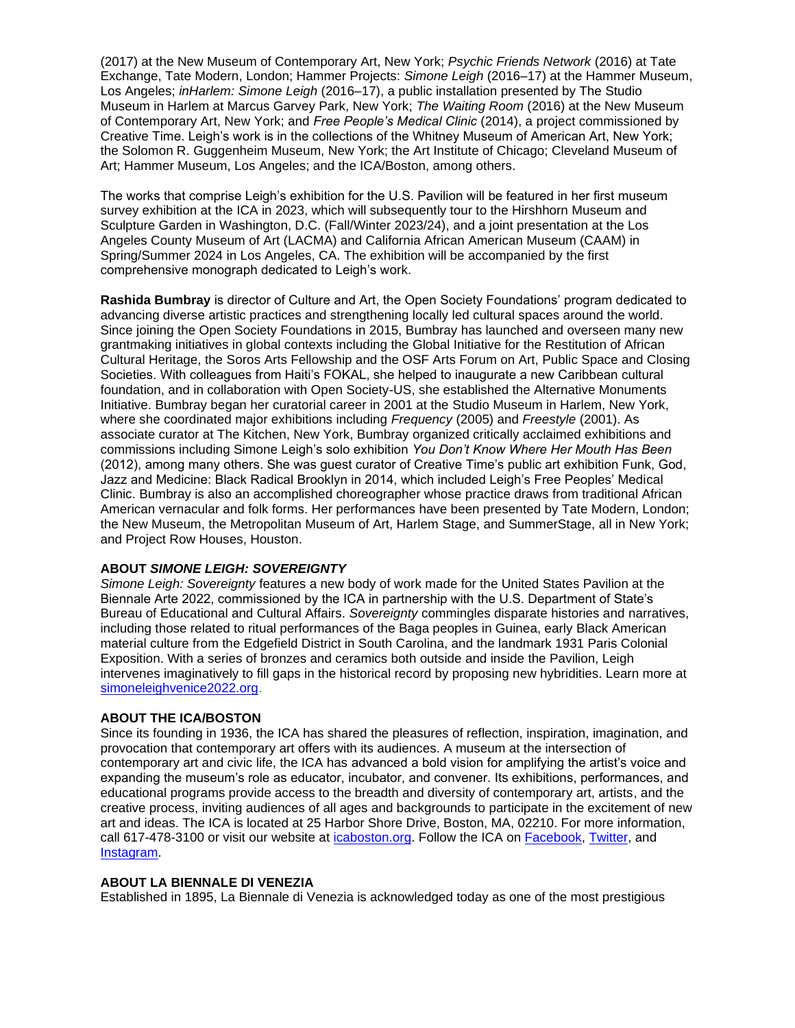(2017) at the New Museum of Contemporary Art, New York; *Psychic Friends Network* (2016) at Tate Exchange, Tate Modern, London; Hammer Projects: *Simone Leigh* (2016–17) at the Hammer Museum, Los Angeles; *inHarlem: Simone Leigh* (2016–17), a public installation presented by The Studio Museum in Harlem at Marcus Garvey Park, New York; *The Waiting Room* (2016) at the New Museum of Contemporary Art, New York; and *Free People's Medical Clinic* (2014), a project commissioned by Creative Time. Leigh's work is in the collections of the Whitney Museum of American Art, New York; the Solomon R. Guggenheim Museum, New York; the Art Institute of Chicago; Cleveland Museum of Art; Hammer Museum, Los Angeles; and the ICA/Boston, among others.

The works that comprise Leigh's exhibition for the U.S. Pavilion will be featured in her first museum survey exhibition at the ICA in 2023, which will subsequently tour to the Hirshhorn Museum and Sculpture Garden in Washington, D.C. (Fall/Winter 2023/24), and a joint presentation at the Los Angeles County Museum of Art (LACMA) and California African American Museum (CAAM) in Spring/Summer 2024 in Los Angeles, CA. The exhibition will be accompanied by the first comprehensive monograph dedicated to Leigh's work.

**Rashida Bumbray** is director of Culture and Art, the Open Society Foundations' program dedicated to advancing diverse artistic practices and strengthening locally led cultural spaces around the world. Since joining the Open Society Foundations in 2015, Bumbray has launched and overseen many new grantmaking initiatives in global contexts including the Global Initiative for the Restitution of African Cultural Heritage, the Soros Arts Fellowship and the OSF Arts Forum on Art, Public Space and Closing Societies. With colleagues from Haiti's FOKAL, she helped to inaugurate a new Caribbean cultural foundation, and in collaboration with Open Society-US, she established the Alternative Monuments Initiative. Bumbray began her curatorial career in 2001 at the Studio Museum in Harlem, New York, where she coordinated major exhibitions including *Frequency* (2005) and *Freestyle* (2001). As associate curator at The Kitchen, New York, Bumbray organized critically acclaimed exhibitions and commissions including Simone Leigh's solo exhibition *You Don't Know Where Her Mouth Has Been* (2012), among many others. She was guest curator of Creative Time's public art exhibition Funk, God, Jazz and Medicine: Black Radical Brooklyn in 2014, which included Leigh's Free Peoples' Medical Clinic. Bumbray is also an accomplished choreographer whose practice draws from traditional African American vernacular and folk forms. Her performances have been presented by Tate Modern, London; the New Museum, the Metropolitan Museum of Art, Harlem Stage, and SummerStage, all in New York; and Project Row Houses, Houston.

### **ABOUT** *SIMONE LEIGH: SOVEREIGNTY*

*Simone Leigh: Sovereignty* features a new body of work made for the United States Pavilion at the Biennale Arte 2022, commissioned by the ICA in partnership with the U.S. Department of State's Bureau of Educational and Cultural Affairs. *Sovereignty* commingles disparate histories and narratives, including those related to ritual performances of the Baga peoples in Guinea, early Black American material culture from the Edgefield District in South Carolina, and the landmark 1931 Paris Colonial Exposition. With a series of bronzes and ceramics both outside and inside the Pavilion, Leigh intervenes imaginatively to fill gaps in the historical record by proposing new hybridities. Learn more at [simoneleighvenice2022.org.](simoneleighvenice2022.org)

### **ABOUT THE ICA/BOSTON**

Since its founding in 1936, the ICA has shared the pleasures of reflection, inspiration, imagination, and provocation that contemporary art offers with its audiences. A museum at the intersection of contemporary art and civic life, the ICA has advanced a bold vision for amplifying the artist's voice and expanding the museum's role as educator, incubator, and convener. Its exhibitions, performances, and educational programs provide access to the breadth and diversity of contemporary art, artists, and the creative process, inviting audiences of all ages and backgrounds to participate in the excitement of new art and ideas. The ICA is located at 25 Harbor Shore Drive, Boston, MA, 02210. For more information, call 617-478-3100 or visit our website at [icaboston.org.](icaboston.org) Follow the ICA on [Facebook,](https://www.facebook.com/ICA.Boston/) [Twitter,](https://twitter.com/ICAinBOSTON?ref_src=twsrc%5Egoogle%7Ctwcamp%5Eserp%7Ctwgr%5Eauthor) and [Instagram.](https://www.instagram.com/icaboston/?hl=en)

### **ABOUT LA BIENNALE DI VENEZIA**

Established in 1895, La Biennale di Venezia is acknowledged today as one of the most prestigious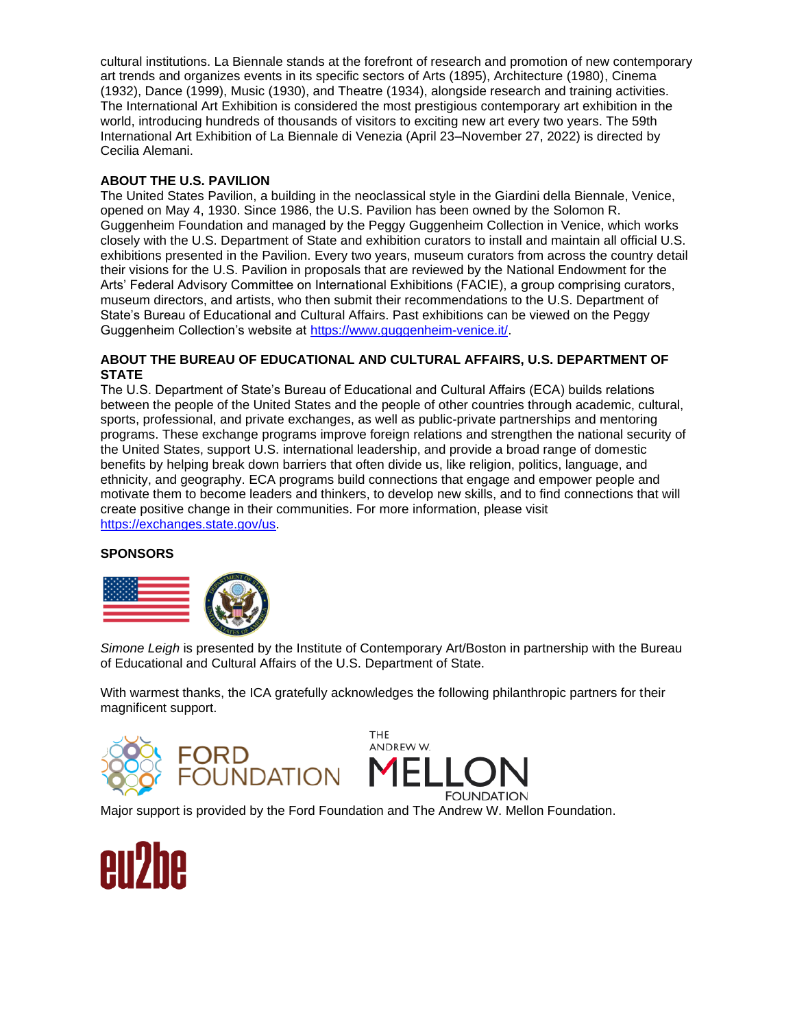cultural institutions. La Biennale stands at the forefront of research and promotion of new contemporary art trends and organizes events in its specific sectors of Arts (1895), Architecture (1980), Cinema (1932), Dance (1999), Music (1930), and Theatre (1934), alongside research and training activities. The International Art Exhibition is considered the most prestigious contemporary art exhibition in the world, introducing hundreds of thousands of visitors to exciting new art every two years. The 59th International Art Exhibition of La Biennale di Venezia (April 23–November 27, 2022) is directed by Cecilia Alemani.

# **ABOUT THE U.S. PAVILION**

The United States Pavilion, a building in the neoclassical style in the Giardini della Biennale, Venice, opened on May 4, 1930. Since 1986, the U.S. Pavilion has been owned by the Solomon R. Guggenheim Foundation and managed by the Peggy Guggenheim Collection in Venice, which works closely with the U.S. Department of State and exhibition curators to install and maintain all official U.S. exhibitions presented in the Pavilion. Every two years, museum curators from across the country detail their visions for the U.S. Pavilion in proposals that are reviewed by the National Endowment for the Arts' Federal Advisory Committee on International Exhibitions (FACIE), a group comprising curators, museum directors, and artists, who then submit their recommendations to the U.S. Department of State's Bureau of Educational and Cultural Affairs. Past exhibitions can be viewed on the Peggy Guggenheim Collection's website at [https://www.guggenheim-venice.it/.](https://www.guggenheim-venice.it/)

## **ABOUT THE BUREAU OF EDUCATIONAL AND CULTURAL AFFAIRS, U.S. DEPARTMENT OF STATE**

The U.S. Department of State's Bureau of Educational and Cultural Affairs (ECA) builds relations between the people of the United States and the people of other countries through academic, cultural, sports, professional, and private exchanges, as well as public-private partnerships and mentoring programs. These exchange programs improve foreign relations and strengthen the national security of the United States, support U.S. international leadership, and provide a broad range of domestic benefits by helping break down barriers that often divide us, like religion, politics, language, and ethnicity, and geography. ECA programs build connections that engage and empower people and motivate them to become leaders and thinkers, to develop new skills, and to find connections that will create positive change in their communities. For more information, please visit [https://exchanges.state.gov/us.](https://exchanges.state.gov/us)

### **SPONSORS**



*Simone Leigh* is presented by the Institute of Contemporary Art/Boston in partnership with the Bureau of Educational and Cultural Affairs of the U.S. Department of State.

With warmest thanks, the ICA gratefully acknowledges the following philanthropic partners for their magnificent support.





Major support is provided by the Ford Foundation and The Andrew W. Mellon Foundation.

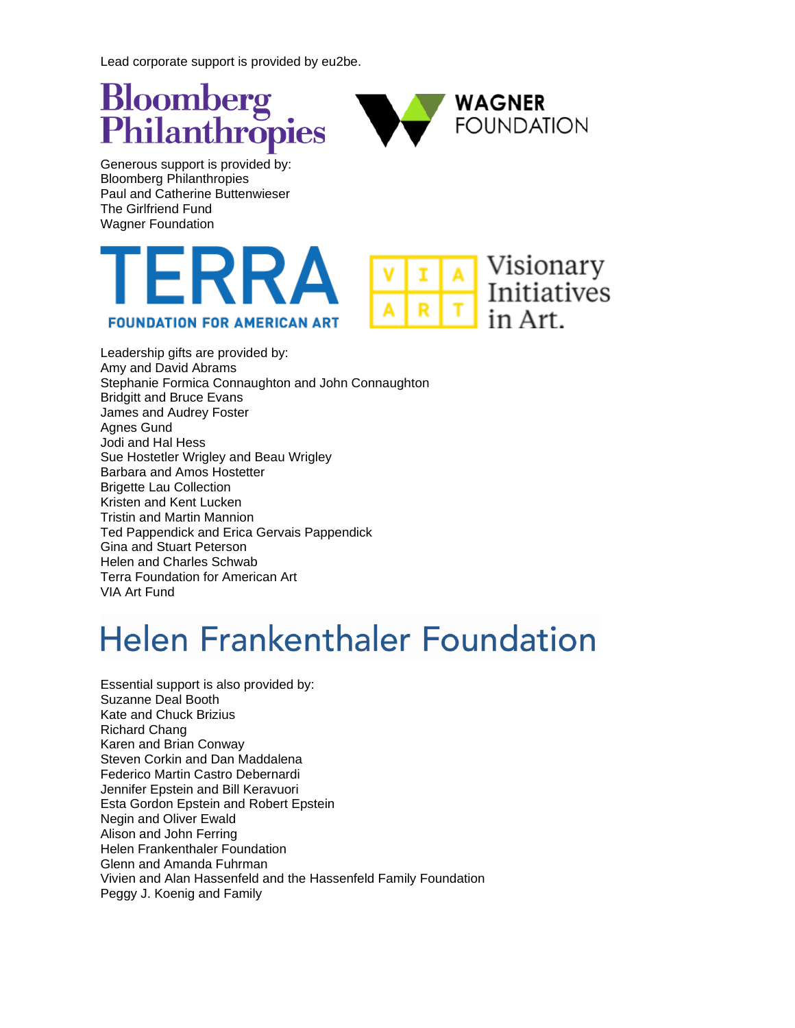Lead corporate support is provided by eu2be.





Generous support is provided by: Bloomberg Philanthropies Paul and Catherine Buttenwieser The Girlfriend Fund Wagner Foundation





Leadership gifts are provided by: Amy and David Abrams Stephanie Formica Connaughton and John Connaughton Bridgitt and Bruce Evans James and Audrey Foster Agnes Gund Jodi and Hal Hess Sue Hostetler Wrigley and Beau Wrigley Barbara and Amos Hostetter Brigette Lau Collection Kristen and Kent Lucken Tristin and Martin Mannion Ted Pappendick and Erica Gervais Pappendick Gina and Stuart Peterson Helen and Charles Schwab Terra Foundation for American Art VIA Art Fund

# **Helen Frankenthaler Foundation**

Essential support is also provided by: Suzanne Deal Booth Kate and Chuck Brizius Richard Chang Karen and Brian Conway Steven Corkin and Dan Maddalena Federico Martin Castro Debernardi Jennifer Epstein and Bill Keravuori Esta Gordon Epstein and Robert Epstein Negin and Oliver Ewald Alison and John Ferring Helen Frankenthaler Foundation Glenn and Amanda Fuhrman Vivien and Alan Hassenfeld and the Hassenfeld Family Foundation Peggy J. Koenig and Family